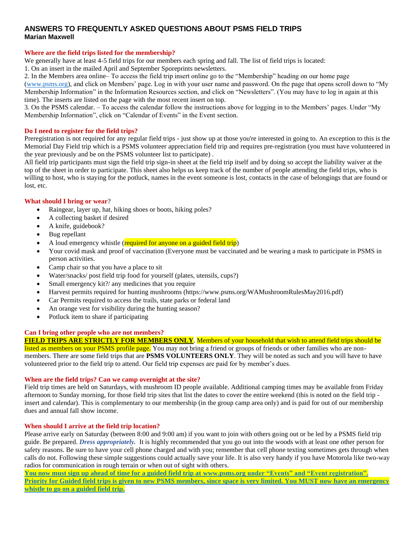# **ANSWERS TO FREQUENTLY ASKED QUESTIONS ABOUT PSMS FIELD TRIPS Marian Maxwell**

### **Where are the field trips listed for the membership?**

We generally have at least 4-5 field trips for our members each spring and fall. The list of field trips is located:

1. On an insert in the mailed April and September Sporeprints newsletters.

2. In the Members area online– To access the field trip insert online go to the "Membership" heading on our home page

[\(www.psms.org\)](http://www.psms.org/), and click on Members' page. Log in with your user name and password. On the page that opens scroll down to "My Membership Information" in the Information Resources section, and click on "Newsletters". (You may have to log in again at this time). The inserts are listed on the page with the most recent insert on top.

3. On the PSMS calendar. – To access the calendar follow the instructions above for logging in to the Members' pages. Under "My Membership Information", click on "Calendar of Events" in the Event section.

### **Do I need to register for the field trips?**

Preregistration is not required for any regular field trips - just show up at those you're interested in going to. An exception to this is the Memorial Day Field trip which is a PSMS volunteer appreciation field trip and requires pre-registration (you must have volunteered in the year previously and be on the PSMS volunteer list to participate) .

All field trip participants must sign the field trip sign-in sheet at the field trip itself and by doing so accept the liability waiver at the top of the sheet in order to participate. This sheet also helps us keep track of the number of people attending the field trips, who is willing to host, who is staying for the potluck, names in the event someone is lost, contacts in the case of belongings that are found or lost, etc.

# **What should I bring or wear**?

- Raingear, layer up, hat, hiking shoes or boots, hiking poles?
- A collecting basket if desired
- A knife, guidebook?
- Bug repellant
- A loud emergency whistle (required for anyone on a guided field trip)
- Your covid mask and proof of vaccination (Everyone must be vaccinated and be wearing a mask to participate in PSMS in person activities.
- Camp chair so that you have a place to sit
- Water/snacks/ post field trip food for yourself (plates, utensils, cups?)
- Small emergency kit?/ any medicines that you require
- Harvest permits required for hunting mushrooms (https://www.psms.org/WAMushroomRulesMay2016.pdf)
- Car Permits required to access the trails, state parks or federal land
- An orange vest for visibility during the hunting season?
- Potluck item to share if participating

# **Can I bring other people who are not members?**

# **FIELD TRIPS ARE STRICTLY FOR MEMBERS ONLY**. Members of your household that wish to attend field trips should be

listed as members on your PSMS profile page. You may not bring a friend or groups of friends or other families who are nonmembers. There are some field trips that are **PSMS VOLUNTEERS ONLY**. They will be noted as such and you will have to have volunteered prior to the field trip to attend. Our field trip expenses are paid for by member's dues.

### **When are the field trips? Can we camp overnight at the site?**

Field trip times are held on Saturdays, with mushroom ID people available. Additional camping times may be available from Friday afternoon to Sunday morning, for those field trip sites that list the dates to cover the entire weekend (this is noted on the field trip insert and calendar). This is complementary to our membership (in the group camp area only) and is paid for out of our membership dues and annual fall show income.

# **When should I arrive at the field trip location?**

Please arrive early on Saturday (between 8:00 and 9:00 am) if you want to join with others going out or be led by a PSMS field trip guide. Be prepared. *Dress appropriately.* It is highly recommended that you go out into the woods with at least one other person for safety reasons. Be sure to have your cell phone charged and with you; remember that cell phone texting sometimes gets through when calls do not. Following these simple suggestions could actually save your life. It is also very handy if you have Motorola like two-way radios for communication in rough terrain or when out of sight with others.

**You now must sign up ahead of time for a guided field trip at [www.psms.org](http://www.psms.org/) under "Events" and "Event registration". Priority for Guided field trips is given to new PSMS members, since space is very limited. You MUST now have an emergency whistle to go on a guided field trip.**